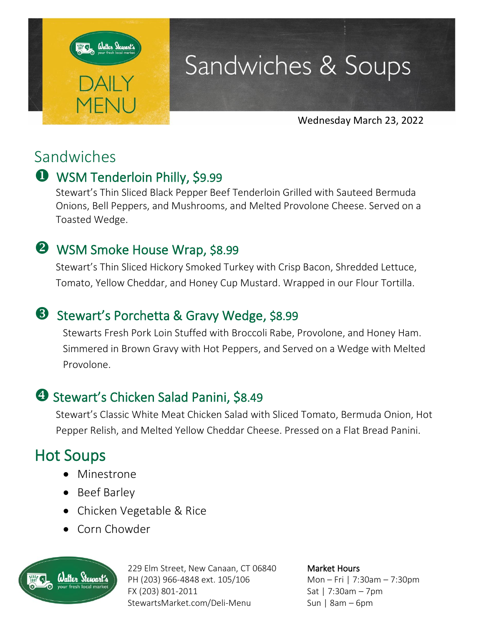

## Sandwiches & Soups

Wednesday March 23, 2022

## Sandwiches

### WSM Tenderloin Philly, \$9.99

Stewart's Thin Sliced Black Pepper Beef Tenderloin Grilled with Sauteed Bermuda Onions, Bell Peppers, and Mushrooms, and Melted Provolone Cheese. Served on a Toasted Wedge.

### **2** WSM Smoke House Wrap, \$8.99

Stewart's Thin Sliced Hickory Smoked Turkey with Crisp Bacon, Shredded Lettuce, Tomato, Yellow Cheddar, and Honey Cup Mustard. Wrapped in our Flour Tortilla.

### **S** Stewart's Porchetta & Gravy Wedge, \$8.99

Stewarts Fresh Pork Loin Stuffed with Broccoli Rabe, Provolone, and Honey Ham. Simmered in Brown Gravy with Hot Peppers, and Served on a Wedge with Melted Provolone.

### **3 Stewart's Chicken Salad Panini, \$8.49**

Stewart's Classic White Meat Chicken Salad with Sliced Tomato, Bermuda Onion, Hot Pepper Relish, and Melted Yellow Cheddar Cheese. Pressed on a Flat Bread Panini.

## Hot Soups

- Minestrone
- Beef Barley
- Chicken Vegetable & Rice
- Corn Chowder



229 Elm Street, New Canaan, CT 06840 PH (203) 966-4848 ext. 105/106 FX (203) 801-2011 StewartsMarket.com/Deli-Menu

Market Hours Mon – Fri | 7:30am – 7:30pm Sat | 7:30am – 7pm Sun | 8am – 6pm